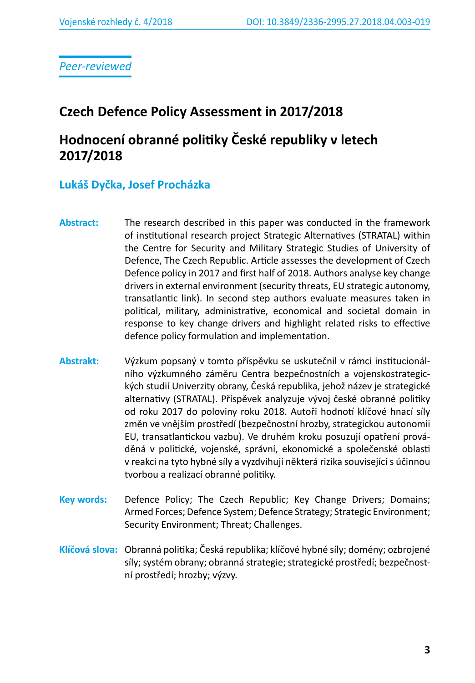*Peer-reviewed*

# **Czech Defence Policy Assessment in 2017/2018**

# **Hodnocení obranné politiky České republiky v letech 2017/2018**

# **Lukáš Dyčka, Josef Procházka**

- **Abstract:** The research described in this paper was conducted in the framework of institutional research project Strategic Alternatives (STRATAL) within the Centre for Security and Military Strategic Studies of University of Defence, The Czech Republic. Article assesses the development of Czech Defence policy in 2017 and first half of 2018. Authors analyse key change drivers in external environment (security threats, EU strategic autonomy, transatlantic link). In second step authors evaluate measures taken in political, military, administrative, economical and societal domain in response to key change drivers and highlight related risks to effective defence policy formulation and implementation.
- **Abstrakt:** Výzkum popsaný v tomto příspěvku se uskutečnil v rámci institucionálního výzkumného záměru Centra bezpečnostních a vojenskostrategických studií Univerzity obrany, Česká republika, jehož název je strategické alternativy (STRATAL). Příspěvek analyzuje vývoj české obranné politiky od roku 2017 do poloviny roku 2018. Autoři hodnotí klíčové hnací síly změn ve vnějším prostředí (bezpečnostní hrozby, strategickou autonomii EU, transatlantickou vazbu). Ve druhém kroku posuzují opatření prováděná v politické, vojenské, správní, ekonomické a společenské oblasti v reakci na tyto hybné síly a vyzdvihují některá rizika související s účinnou tvorbou a realizací obranné politiky.
- **Key words:** Defence Policy; The Czech Republic; Key Change Drivers; Domains; Armed Forces; Defence System; Defence Strategy; Strategic Environment; Security Environment; Threat; Challenges.
- **Klíčová slova:** Obranná politika; Česká republika; klíčové hybné síly; domény; ozbrojené síly; systém obrany; obranná strategie; strategické prostředí; bezpečnostní prostředí; hrozby; výzvy.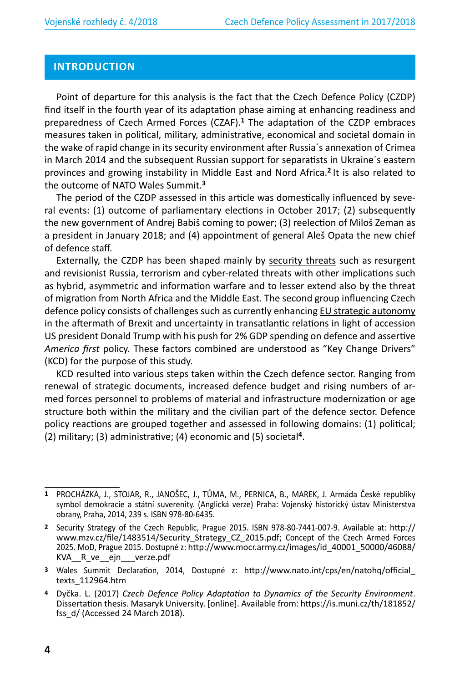## **INTRODUCTION**

Point of departure for this analysis is the fact that the Czech Defence Policy (CZDP) find itself in the fourth year of its adaptation phase aiming at enhancing readiness and preparedness of Czech Armed Forces (CZAF).**<sup>1</sup>** The adaptation of the CZDP embraces measures taken in political, military, administrative, economical and societal domain in the wake of rapid change in its security environment after Russia´s annexation of Crimea in March 2014 and the subsequent Russian support for separatists in Ukraine´s eastern provinces and growing instability in Middle East and Nord Africa.**<sup>2</sup>** It is also related to the outcome of NATO Wales Summit.**<sup>3</sup>**

The period of the CZDP assessed in this article was domestically influenced by several events: (1) outcome of parliamentary elections in October 2017; (2) subsequently the new government of Andrej Babiš coming to power; (3) reelection of Miloš Zeman as a president in January 2018; and (4) appointment of general Aleš Opata the new chief of defence staff.

Externally, the CZDP has been shaped mainly by security threats such as resurgent and revisionist Russia, terrorism and cyber-related threats with other implications such as hybrid, asymmetric and information warfare and to lesser extend also by the threat of migration from North Africa and the Middle East. The second group influencing Czech defence policy consists of challenges such as currently enhancing EU strategic autonomy in the aftermath of Brexit and uncertainty in transatlantic relations in light of accession US president Donald Trump with his push for 2% GDP spending on defence and assertive *America first* policy. These factors combined are understood as "Key Change Drivers" (KCD) for the purpose of this study.

KCD resulted into various steps taken within the Czech defence sector. Ranging from renewal of strategic documents, increased defence budget and rising numbers of armed forces personnel to problems of material and infrastructure modernization or age structure both within the military and the civilian part of the defence sector. Defence policy reactions are grouped together and assessed in following domains: (1) political; (2) military; (3) administrative; (4) economic and (5) societal**<sup>4</sup>**.

**<sup>1</sup>** PROCHÁZKA, J., STOJAR, R., JANOŠEC, J., TŮMA, M., PERNICA, B., MAREK, J. Armáda České republiky symbol demokracie a státní suverenity. (Anglická verze) Praha: Vojenský historický ústav Ministerstva obrany, Praha, 2014, 239 s. ISBN 978-80-6435.

**<sup>2</sup>** Security Strategy of the Czech Republic, Prague 2015. ISBN 978-80-7441-007-9. Available at: http:// www.mzv.cz/file/1483514/Security Strategy CZ 2015.pdf; Concept of the Czech Armed Forces 2025. MoD, Prague 2015. Dostupné z: http://www.mocr.army.cz/images/id\_40001\_50000/46088/ KVA\_\_R\_ve\_\_ejn\_\_\_verze.pdf

**<sup>3</sup>** Wales Summit Declaration, 2014, Dostupné z: http://www.nato.int/cps/en/natohq/official\_ texts\_112964.htm

**<sup>4</sup>** Dyčka. L. (2017) *Czech Defence Policy Adaptation to Dynamics of the Security Environment*. Dissertation thesis. Masaryk University. [online]. Available from: https://is.muni.cz/th/181852/ fss d/ (Accessed 24 March 2018).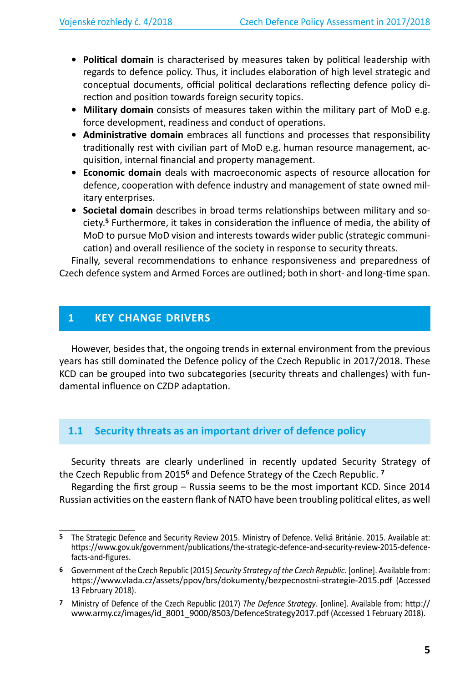- **• Political domain** is characterised by measures taken by political leadership with regards to defence policy. Thus, it includes elaboration of high level strategic and conceptual documents, official political declarations reflecting defence policy direction and position towards foreign security topics.
- **• Military domain** consists of measures taken within the military part of MoD e.g. force development, readiness and conduct of operations.
- **• Administrative domain** embraces all functions and processes that responsibility traditionally rest with civilian part of MoD e.g. human resource management, acquisition, internal financial and property management.
- **• Economic domain** deals with macroeconomic aspects of resource allocation for defence, cooperation with defence industry and management of state owned military enterprises.
- **• Societal domain** describes in broad terms relationships between military and society.**<sup>5</sup>** Furthermore, it takes in consideration the influence of media, the ability of MoD to pursue MoD vision and interests towards wider public (strategic communication) and overall resilience of the society in response to security threats.

Finally, several recommendations to enhance responsiveness and preparedness of Czech defence system and Armed Forces are outlined; both in short- and long-time span.

# **1 KEY CHANGE DRIVERS**

However, besides that, the ongoing trends in external environment from the previous years has still dominated the Defence policy of the Czech Republic in 2017/2018. These KCD can be grouped into two subcategories (security threats and challenges) with fundamental influence on CZDP adaptation.

# **1.1 Security threats as an important driver of defence policy**

Security threats are clearly underlined in recently updated Security Strategy of the Czech Republic from 2015**<sup>6</sup>** and Defence Strategy of the Czech Republic. **<sup>7</sup>**

Regarding the first group – Russia seems to be the most important KCD. Since 2014 Russian activities on the eastern flank of NATO have been troubling political elites, as well

**<sup>5</sup>** The Strategic Defence and Security Review 2015. Ministry of Defence. Velká Británie. 2015. Available at: https://www.gov.uk/government/publications/the-strategic-defence-and-security-review-2015-defencefacts-and-figures.

**<sup>6</sup>** Government of the Czech Republic (2015) *Security Strategy of the Czech Republic*. [online]. Available from: https://www.vlada.cz/assets/ppov/brs/dokumenty/bezpecnostni-strategie-2015.pdf (Accessed 13 February 2018).

**<sup>7</sup>** Ministry of Defence of the Czech Republic (2017) *The Defence Strategy*. [online]. Available from: http:// www.army.cz/images/id 8001 9000/8503/DefenceStrategy2017.pdf (Accessed 1 February 2018).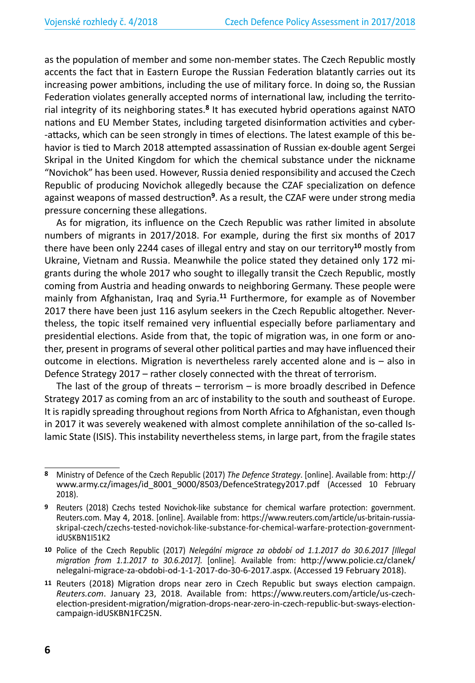as the population of member and some non-member states. The Czech Republic mostly accents the fact that in Eastern Europe the Russian Federation blatantly carries out its increasing power ambitions, including the use of military force. In doing so, the Russian Federation violates generally accepted norms of international law, including the territorial integrity of its neighboring states.**<sup>8</sup>** It has executed hybrid operations against NATO nations and EU Member States, including targeted disinformation activities and cyber- -attacks, which can be seen strongly in times of elections. The latest example of this behavior is tied to March 2018 attempted assassination of Russian ex-double agent Sergei Skripal in the United Kingdom for which the chemical substance under the nickname "Novichok" has been used. However, Russia denied responsibility and accused the Czech Republic of producing Novichok allegedly because the CZAF specialization on defence against weapons of massed destruction**<sup>9</sup>**. As a result, the CZAF were under strong media pressure concerning these allegations.

As for migration, its influence on the Czech Republic was rather limited in absolute numbers of migrants in 2017/2018. For example, during the first six months of 2017 there have been only 2244 cases of illegal entry and stay on our territory**<sup>10</sup>** mostly from Ukraine, Vietnam and Russia. Meanwhile the police stated they detained only 172 migrants during the whole 2017 who sought to illegally transit the Czech Republic, mostly coming from Austria and heading onwards to neighboring Germany. These people were mainly from Afghanistan, Iraq and Syria.**<sup>11</sup>** Furthermore, for example as of November 2017 there have been just 116 asylum seekers in the Czech Republic altogether. Nevertheless, the topic itself remained very influential especially before parliamentary and presidential elections. Aside from that, the topic of migration was, in one form or another, present in programs of several other political parties and may have influenced their outcome in elections. Migration is nevertheless rarely accented alone and is – also in Defence Strategy 2017 – rather closely connected with the threat of terrorism.

The last of the group of threats – terrorism – is more broadly described in Defence Strategy 2017 as coming from an arc of instability to the south and southeast of Europe. It is rapidly spreading throughout regions from North Africa to Afghanistan, even though in 2017 it was severely weakened with almost complete annihilation of the so-called Islamic State (ISIS). This instability nevertheless stems, in large part, from the fragile states

**<sup>8</sup>** Ministry of Defence of the Czech Republic (2017) *The Defence Strategy*. [online]. Available from: http:// www.army.cz/images/id\_8001\_9000/8503/DefenceStrategy2017.pdf (Accessed 10 February 2018).

**<sup>9</sup>** Reuters (2018) Czechs tested Novichok-like substance for chemical warfare protection: government. Reuters.com. May 4, 2018. [online]. Available from: https://www.reuters.com/article/us-britain-russiaskripal-czech/czechs-tested-novichok-like-substance-for-chemical-warfare-protection-governmentidUSKBN1I51K2

**<sup>10</sup>** Police of the Czech Republic (2017) *Nelegální migrace za období od 1.1.2017 do 30.6.2017 [Illegal migration from 1.1.2017 to 30.6.2017].* [online]. Available from: http://www.policie.cz/clanek/ nelegalni-migrace-za-obdobi-od-1-1-2017-do-30-6-2017.aspx. (Accessed 19 February 2018).

**<sup>11</sup>** Reuters (2018) Migration drops near zero in Czech Republic but sways election campaign. *Reuters.com*. January 23, 2018. Available from: https://www.reuters.com/article/us-czechelection-president-migration/migration-drops-near-zero-in-czech-republic-but-sways-electioncampaign-idUSKBN1FC25N.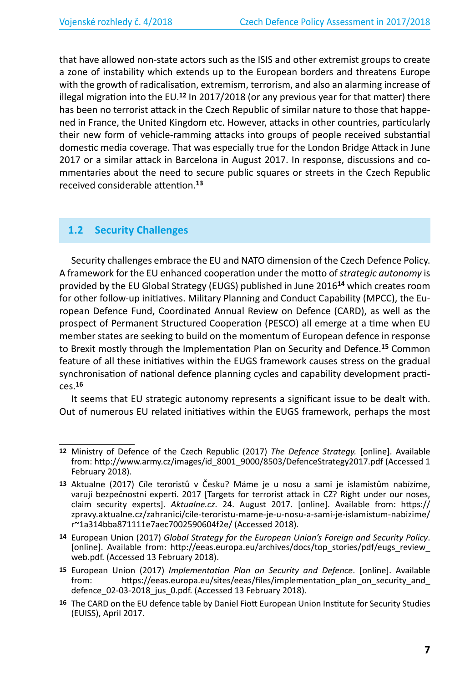that have allowed non-state actors such as the ISIS and other extremist groups to create a zone of instability which extends up to the European borders and threatens Europe with the growth of radicalisation, extremism, terrorism, and also an alarming increase of illegal migration into the EU.**<sup>12</sup>** In 2017/2018 (or any previous year for that matter) there has been no terrorist attack in the Czech Republic of similar nature to those that happened in France, the United Kingdom etc. However, attacks in other countries, particularly their new form of vehicle-ramming attacks into groups of people received substantial domestic media coverage. That was especially true for the London Bridge Attack in June 2017 or a similar attack in Barcelona in August 2017. In response, discussions and commentaries about the need to secure public squares or streets in the Czech Republic received considerable attention.**<sup>13</sup>**

### **1.2 Security Challenges**

Security challenges embrace the EU and NATO dimension of the Czech Defence Policy. A framework for the EU enhanced cooperation under the motto of *strategic autonomy* is provided by the EU Global Strategy (EUGS) published in June 2016**<sup>14</sup>** which creates room for other follow-up initiatives. Military Planning and Conduct Capability (MPCC), the European Defence Fund, Coordinated Annual Review on Defence (CARD), as well as the prospect of Permanent Structured Cooperation (PESCO) all emerge at a time when EU member states are seeking to build on the momentum of European defence in response to Brexit mostly through the Implementation Plan on Security and Defence.**<sup>15</sup>** Common feature of all these initiatives within the EUGS framework causes stress on the gradual synchronisation of national defence planning cycles and capability development practices.**<sup>16</sup>**

It seems that EU strategic autonomy represents a significant issue to be dealt with. Out of numerous EU related initiatives within the EUGS framework, perhaps the most

**<sup>12</sup>** Ministry of Defence of the Czech Republic (2017) *The Defence Strategy.* [online]. Available from: http://www.army.cz/images/id\_8001\_9000/8503/DefenceStrategy2017.pdf (Accessed 1 February 2018).

**<sup>13</sup>** Aktualne (2017) Cíle teroristů v Česku? Máme je u nosu a sami je islamistům nabízíme, varují bezpečnostní experti. 2017 [Targets for terrorist attack in CZ? Right under our noses, claim security experts]. *Aktualne.cz*. 24. August 2017. [online]. Available from: https:// zpravy.aktualne.cz/zahranici/cile-teroristu-mame-je-u-nosu-a-sami-je-islamistum-nabizime/ r~1a314bba871111e7aec7002590604f2e/ (Accessed 2018).

**<sup>14</sup>** European Union (2017) *Global Strategy for the European Union's Foreign and Security Policy*. [online]. Available from: http://eeas.europa.eu/archives/docs/top\_stories/pdf/eugs\_review web.pdf. (Accessed 13 February 2018).

**<sup>15</sup>** European Union (2017) *Implementation Plan on Security and Defence*. [online]. Available from: https://eeas.europa.eu/sites/eeas/files/implementation\_plan\_on\_security\_and\_ defence 02-03-2018 jus 0.pdf. (Accessed 13 February 2018).

**<sup>16</sup>** The CARD on the EU defence table by Daniel Fiott European Union Institute for Security Studies (EUISS), April 2017.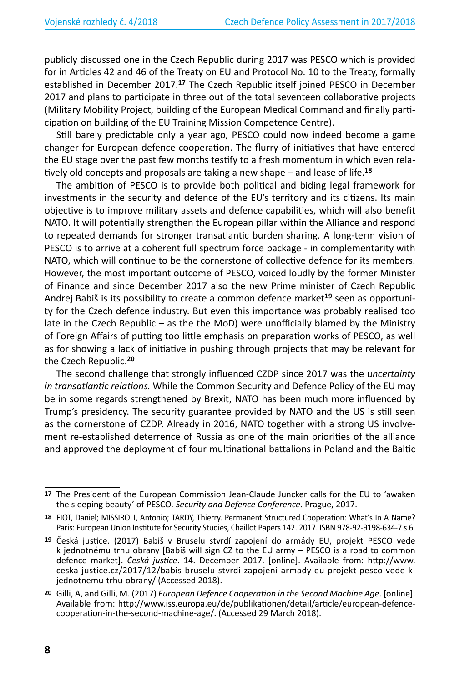publicly discussed one in the Czech Republic during 2017 was PESCO which is provided for in Articles 42 and 46 of the Treaty on EU and Protocol No. 10 to the Treaty, formally established in December 2017.**<sup>17</sup>** The Czech Republic itself joined PESCO in December 2017 and plans to participate in three out of the total seventeen collaborative projects (Military Mobility Project, building of the European Medical Command and finally participation on building of the EU Training Mission Competence Centre).

Still barely predictable only a year ago, PESCO could now indeed become a game changer for European defence cooperation. The flurry of initiatives that have entered the EU stage over the past few months testify to a fresh momentum in which even relatively old concepts and proposals are taking a new shape – and lease of life.**<sup>18</sup>**

The ambition of PESCO is to provide both political and biding legal framework for investments in the security and defence of the EU's territory and its citizens. Its main objective is to improve military assets and defence capabilities, which will also benefit NATO. It will potentially strengthen the European pillar within the Alliance and respond to repeated demands for stronger transatlantic burden sharing. A long-term vision of PESCO is to arrive at a coherent full spectrum force package - in complementarity with NATO, which will continue to be the cornerstone of collective defence for its members. However, the most important outcome of PESCO, voiced loudly by the former Minister of Finance and since December 2017 also the new Prime minister of Czech Republic Andrej Babiš is its possibility to create a common defence market**<sup>19</sup>** seen as opportunity for the Czech defence industry. But even this importance was probably realised too late in the Czech Republic – as the the MoD) were unofficially blamed by the Ministry of Foreign Affairs of putting too little emphasis on preparation works of PESCO, as well as for showing a lack of initiative in pushing through projects that may be relevant for the Czech Republic.**<sup>20</sup>**

The second challenge that strongly influenced CZDP since 2017 was the u*ncertainty in transatlantic relations.* While the Common Security and Defence Policy of the EU may be in some regards strengthened by Brexit, NATO has been much more influenced by Trump's presidency. The security guarantee provided by NATO and the US is still seen as the cornerstone of CZDP. Already in 2016, NATO together with a strong US involvement re-established deterrence of Russia as one of the main priorities of the alliance and approved the deployment of four multinational battalions in Poland and the Baltic

**<sup>17</sup>** The President of the European Commission Jean-Claude Juncker calls for the EU to 'awaken the sleeping beauty' of PESCO. *Security and Defence Conference*. Prague, 2017.

**<sup>18</sup>** FIOT, Daniel; MISSIROLI, Antonio; TARDY, Thierry. Permanent Structured Cooperation: What's In A Name? Paris: European Union Institute for Security Studies, Chaillot Papers 142. 2017. ISBN 978-92-9198-634-7 s.6.

**<sup>19</sup>** Česká justice. (2017) Babiš v Bruselu stvrdí zapojení do armády EU, projekt PESCO vede k jednotnému trhu obrany [Babiš will sign CZ to the EU army – PESCO is a road to common defence market]. *Česká justice*. 14. December 2017. [online]. Available from: http://www. ceska-justice.cz/2017/12/babis-bruselu-stvrdi-zapojeni-armady-eu-projekt-pesco-vede-kjednotnemu-trhu-obrany/ (Accessed 2018).

**<sup>20</sup>** Gilli, A, and Gilli, M. (2017) *European Defence Cooperation in the Second Machine Age*. [online]. Available from: http://www.iss.europa.eu/de/publikationen/detail/article/european-defencecooperation-in-the-second-machine-age/. (Accessed 29 March 2018).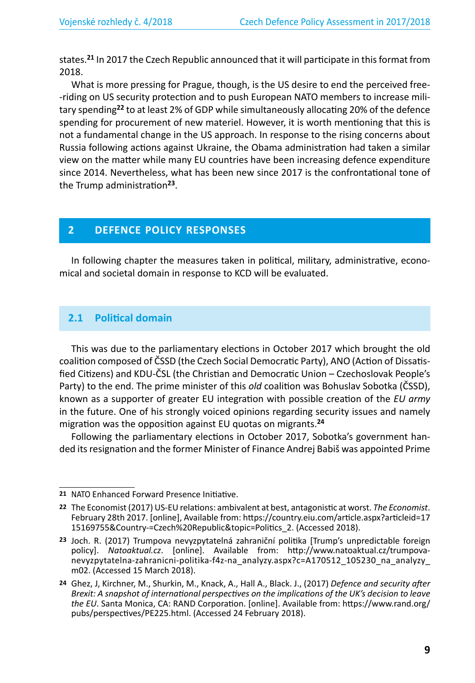states.**<sup>21</sup>** In 2017 the Czech Republic announced that it will participate in this format from 2018.

What is more pressing for Prague, though, is the US desire to end the perceived free- -riding on US security protection and to push European NATO members to increase military spending**<sup>22</sup>** to at least 2% of GDP while simultaneously allocating 20% of the defence spending for procurement of new materiel. However, it is worth mentioning that this is not a fundamental change in the US approach. In response to the rising concerns about Russia following actions against Ukraine, the Obama administration had taken a similar view on the matter while many EU countries have been increasing defence expenditure since 2014. Nevertheless, what has been new since 2017 is the confrontational tone of the Trump administration**<sup>23</sup>**.

# **2 DEFENCE POLICY RESPONSES**

In following chapter the measures taken in political, military, administrative, economical and societal domain in response to KCD will be evaluated.

### **2.1 Political domain**

This was due to the parliamentary elections in October 2017 which brought the old coalition composed of ČSSD (the Czech Social Democratic Party), ANO (Action of Dissatisfied Citizens) and KDU-ČSL (the Christian and Democratic Union – Czechoslovak People's Party) to the end. The prime minister of this *old* coalition was Bohuslav Sobotka (ČSSD), known as a supporter of greater EU integration with possible creation of the *EU army* in the future. One of his strongly voiced opinions regarding security issues and namely migration was the opposition against EU quotas on migrants.**<sup>24</sup>**

Following the parliamentary elections in October 2017, Sobotka's government handed its resignation and the former Minister of Finance Andrej Babiš was appointed Prime

**<sup>21</sup>** NATO Enhanced Forward Presence Initiative.

**<sup>22</sup>** The Economist (2017) US-EU relations: ambivalent at best, antagonistic at worst. *The Economist*. February 28th 2017. [online], Available from: https://country.eiu.com/article.aspx?articleid=17 15169755&Country-=Czech%20Republic&topic=Politics\_2. (Accessed 2018).

**<sup>23</sup>** Joch. R. (2017) Trumpova nevyzpytatelná zahraniční politika [Trump's unpredictable foreign policy]. *Natoaktual.cz*. [online]. Available from: http://www.natoaktual.cz/trumpovanevyzpytatelna-zahranicni-politika-f4z-na\_analyzy.aspx?c=A170512\_105230\_na\_analyzy\_ m02. (Accessed 15 March 2018).

**<sup>24</sup>** Ghez, J, Kirchner, M., Shurkin, M., Knack, A., Hall A., Black. J., (2017) *Defence and security after Brexit: A snapshot of international perspectives on the implications of the UK's decision to leave the EU*. Santa Monica, CA: RAND Corporation. [online]. Available from: https://www.rand.org/ pubs/perspectives/PE225.html. (Accessed 24 February 2018).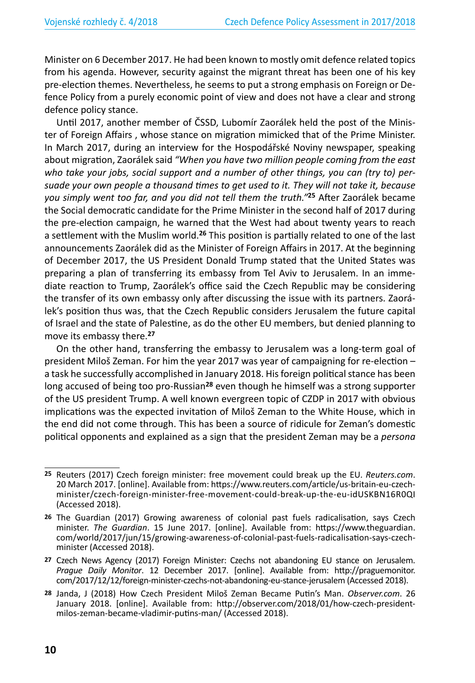Minister on 6 December 2017. He had been known to mostly omit defence related topics from his agenda. However, security against the migrant threat has been one of his key pre-election themes. Nevertheless, he seems to put a strong emphasis on Foreign or Defence Policy from a purely economic point of view and does not have a clear and strong defence policy stance.

Until 2017, another member of ČSSD, Lubomír Zaorálek held the post of the Minister of Foreign Affairs , whose stance on migration mimicked that of the Prime Minister. In March 2017, during an interview for the Hospodářské Noviny newspaper, speaking about migration, Zaorálek said *"When you have two million people coming from the east who take your jobs, social support and a number of other things, you can (try to) persuade your own people a thousand times to get used to it. They will not take it, because you simply went too far, and you did not tell them the truth."***<sup>25</sup>** After Zaorálek became the Social democratic candidate for the Prime Minister in the second half of 2017 during the pre-election campaign, he warned that the West had about twenty years to reach a settlement with the Muslim world.**<sup>26</sup>** This position is partially related to one of the last announcements Zaorálek did as the Minister of Foreign Affairs in 2017. At the beginning of December 2017, the US President Donald Trump stated that the United States was preparing a plan of transferring its embassy from Tel Aviv to Jerusalem. In an immediate reaction to Trump, Zaorálek's office said the Czech Republic may be considering the transfer of its own embassy only after discussing the issue with its partners. Zaorálek's position thus was, that the Czech Republic considers Jerusalem the future capital of Israel and the state of Palestine, as do the other EU members, but denied planning to move its embassy there.**<sup>27</sup>**

On the other hand, transferring the embassy to Jerusalem was a long-term goal of president Miloš Zeman. For him the year 2017 was year of campaigning for re-election – a task he successfully accomplished in January 2018. His foreign political stance has been long accused of being too pro-Russian**<sup>28</sup>** even though he himself was a strong supporter of the US president Trump. A well known evergreen topic of CZDP in 2017 with obvious implications was the expected invitation of Miloš Zeman to the White House, which in the end did not come through. This has been a source of ridicule for Zeman's domestic political opponents and explained as a sign that the president Zeman may be a *persona* 

**<sup>25</sup>** Reuters (2017) Czech foreign minister: free movement could break up the EU. *Reuters.com*. 20 March 2017. [online]. Available from: https://www.reuters.com/article/us-britain-eu-czechminister/czech-foreign-minister-free-movement-could-break-up-the-eu-idUSKBN16R0QI (Accessed 2018).

**<sup>26</sup>** The Guardian (2017) Growing awareness of colonial past fuels radicalisation, says Czech minister. *The Guardian*. 15 June 2017. [online]. Available from: https://www.theguardian. com/world/2017/jun/15/growing-awareness-of-colonial-past-fuels-radicalisation-says-czechminister (Accessed 2018).

**<sup>27</sup>** Czech News Agency (2017) Foreign Minister: Czechs not abandoning EU stance on Jerusalem. *Prague Daily Monitor*. 12 December 2017. [online]. Available from: http://praguemonitor. com/2017/12/12/foreign-minister-czechs-not-abandoning-eu-stance-jerusalem (Accessed 2018).

**<sup>28</sup>** Janda, J (2018) How Czech President Miloš Zeman Became Putin's Man. *Observer.com*. 26 January 2018. [online]. Available from: http://observer.com/2018/01/how-czech-presidentmilos-zeman-became-vladimir-putins-man/ (Accessed 2018).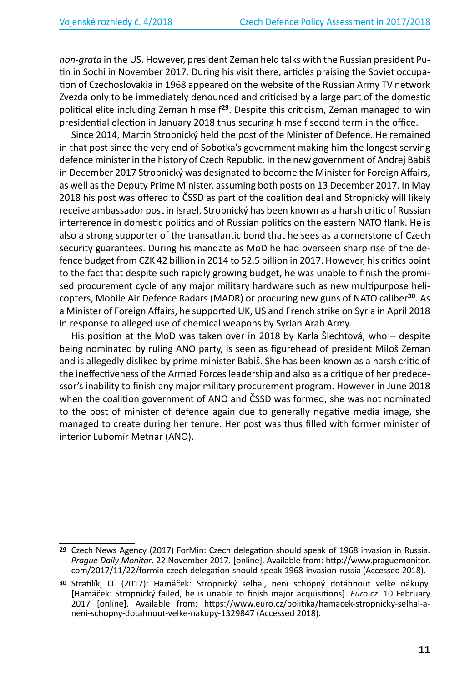*non-grata* in the US. However, president Zeman held talks with the Russian president Putin in Sochi in November 2017. During his visit there, articles praising the Soviet occupation of Czechoslovakia in 1968 appeared on the website of the Russian Army TV network Zvezda only to be immediately denounced and criticised by a large part of the domestic political elite including Zeman himself**<sup>29</sup>**. Despite this criticism, Zeman managed to win presidential election in January 2018 thus securing himself second term in the office.

Since 2014, Martin Stropnický held the post of the Minister of Defence. He remained in that post since the very end of Sobotka's government making him the longest serving defence minister in the history of Czech Republic. In the new government of Andrej Babiš in December 2017 Stropnický was designated to become the Minister for Foreign Affairs, as well as the Deputy Prime Minister, assuming both posts on 13 December 2017. In May 2018 his post was offered to ČSSD as part of the coalition deal and Stropnický will likely receive ambassador post in Israel. Stropnický has been known as a harsh critic of Russian interference in domestic politics and of Russian politics on the eastern NATO flank. He is also a strong supporter of the transatlantic bond that he sees as a cornerstone of Czech security guarantees. During his mandate as MoD he had overseen sharp rise of the defence budget from CZK 42 billion in 2014 to 52.5 billion in 2017. However, his critics point to the fact that despite such rapidly growing budget, he was unable to finish the promised procurement cycle of any major military hardware such as new multipurpose helicopters, Mobile Air Defence Radars (MADR) or procuring new guns of NATO caliber**<sup>30</sup>**. As a Minister of Foreign Affairs, he supported UK, US and French strike on Syria in April 2018 in response to alleged use of chemical weapons by Syrian Arab Army.

His position at the MoD was taken over in 2018 by Karla Šlechtová, who – despite being nominated by ruling ANO party, is seen as figurehead of president Miloš Zeman and is allegedly disliked by prime minister Babiš. She has been known as a harsh critic of the ineffectiveness of the Armed Forces leadership and also as a critique of her predecessor's inability to finish any major military procurement program. However in June 2018 when the coalition government of ANO and ČSSD was formed, she was not nominated to the post of minister of defence again due to generally negative media image, she managed to create during her tenure. Her post was thus filled with former minister of interior Lubomír Metnar (ANO).

**<sup>29</sup>** Czech News Agency (2017) ForMin: Czech delegation should speak of 1968 invasion in Russia. *Prague Daily Monitor*. 22 November 2017. [online]. Available from: http://www.praguemonitor. com/2017/11/22/formin-czech-delegation-should-speak-1968-invasion-russia (Accessed 2018).

**<sup>30</sup>** Stratilík, O. (2017): Hamáček: Stropnický selhal, není schopný dotáhnout velké nákupy. [Hamáček: Stropnický failed, he is unable to finish major acquisitions]. *Euro.cz*. 10 February 2017 [online]. Available from: https://www.euro.cz/politika/hamacek-stropnicky-selhal-aneni-schopny-dotahnout-velke-nakupy-1329847 (Accessed 2018).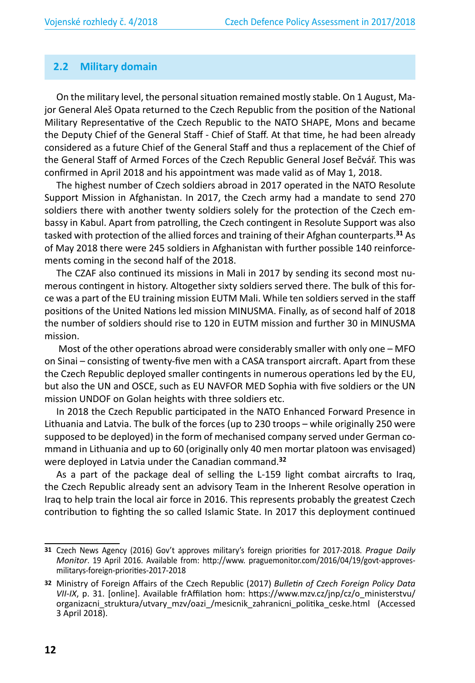#### **2.2 Military domain**

On the military level, the personal situation remained mostly stable. On 1 August, Major General Aleš Opata returned to the Czech Republic from the position of the National Military Representative of the Czech Republic to the NATO SHAPE, Mons and became the Deputy Chief of the General Staff - Chief of Staff. At that time, he had been already considered as a future Chief of the General Staff and thus a replacement of the Chief of the General Staff of Armed Forces of the Czech Republic General Josef Bečvář. This was confirmed in April 2018 and his appointment was made valid as of May 1, 2018.

The highest number of Czech soldiers abroad in 2017 operated in the NATO Resolute Support Mission in Afghanistan. In 2017, the Czech army had a mandate to send 270 soldiers there with another twenty soldiers solely for the protection of the Czech embassy in Kabul. Apart from patrolling, the Czech contingent in Resolute Support was also tasked with protection of the allied forces and training of their Afghan counterparts.**<sup>31</sup>** As of May 2018 there were 245 soldiers in Afghanistan with further possible 140 reinforcements coming in the second half of the 2018.

The CZAF also continued its missions in Mali in 2017 by sending its second most numerous contingent in history. Altogether sixty soldiers served there. The bulk of this force was a part of the EU training mission EUTM Mali. While ten soldiers served in the staff positions of the United Nations led mission MINUSMA. Finally, as of second half of 2018 the number of soldiers should rise to 120 in EUTM mission and further 30 in MINUSMA mission.

 Most of the other operations abroad were considerably smaller with only one – MFO on Sinai – consisting of twenty-five men with a CASA transport aircraft. Apart from these the Czech Republic deployed smaller contingents in numerous operations led by the EU, but also the UN and OSCE, such as EU NAVFOR MED Sophia with five soldiers or the UN mission UNDOF on Golan heights with three soldiers etc.

In 2018 the Czech Republic participated in the NATO Enhanced Forward Presence in Lithuania and Latvia. The bulk of the forces (up to 230 troops – while originally 250 were supposed to be deployed) in the form of mechanised company served under German command in Lithuania and up to 60 (originally only 40 men mortar platoon was envisaged) were deployed in Latvia under the Canadian command.**<sup>32</sup>**

As a part of the package deal of selling the L-159 light combat aircrafts to Iraq, the Czech Republic already sent an advisory Team in the Inherent Resolve operation in Iraq to help train the local air force in 2016. This represents probably the greatest Czech contribution to fighting the so called Islamic State. In 2017 this deployment continued

**<sup>31</sup>** Czech News Agency (2016) Gov't approves military's foreign priorities for 2017-2018. *Prague Daily Monitor*. 19 April 2016. Available from: http://www. praguemonitor.com/2016/04/19/govt-approvesmilitarys-foreign-priorities-2017-2018

**<sup>32</sup>** Ministry of Foreign Affairs of the Czech Republic (2017) *Bulletin of Czech Foreign Policy Data VII-IX*, p. 31. [online]. Available frAffilation hom: https://www.mzv.cz/jnp/cz/o\_ministerstvu/ organizacni\_struktura/utvary\_mzv/oazi\_/mesicnik\_zahranicni\_politika\_ceske.html (Accessed 3 April 2018).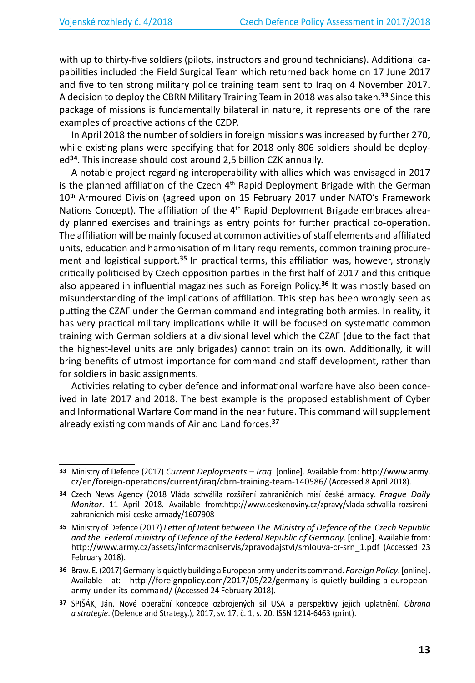with up to thirty-five soldiers (pilots, instructors and ground technicians). Additional capabilities included the Field Surgical Team which returned back home on 17 June 2017 and five to ten strong military police training team sent to Iraq on 4 November 2017. A decision to deploy the CBRN Military Training Team in 2018 was also taken.**<sup>33</sup>** Since this package of missions is fundamentally bilateral in nature, it represents one of the rare examples of proactive actions of the CZDP.

In April 2018 the number of soldiers in foreign missions was increased by further 270, while existing plans were specifying that for 2018 only 806 soldiers should be deployed**<sup>34</sup>**. This increase should cost around 2,5 billion CZK annually.

A notable project regarding interoperability with allies which was envisaged in 2017 is the planned affiliation of the Czech  $4<sup>th</sup>$  Rapid Deployment Brigade with the German 10<sup>th</sup> Armoured Division (agreed upon on 15 February 2017 under NATO's Framework Nations Concept). The affiliation of the  $4<sup>th</sup>$  Rapid Deployment Brigade embraces already planned exercises and trainings as entry points for further practical co-operation. The affiliation will be mainly focused at common activities of staff elements and affiliated units, education and harmonisation of military requirements, common training procurement and logistical support.**<sup>35</sup>** In practical terms, this affiliation was, however, strongly critically politicised by Czech opposition parties in the first half of 2017 and this critique also appeared in influential magazines such as Foreign Policy.**<sup>36</sup>** It was mostly based on misunderstanding of the implications of affiliation. This step has been wrongly seen as putting the CZAF under the German command and integrating both armies. In reality, it has very practical military implications while it will be focused on systematic common training with German soldiers at a divisional level which the CZAF (due to the fact that the highest-level units are only brigades) cannot train on its own. Additionally, it will bring benefits of utmost importance for command and staff development, rather than for soldiers in basic assignments.

Activities relating to cyber defence and informational warfare have also been conceived in late 2017 and 2018. The best example is the proposed establishment of Cyber and Informational Warfare Command in the near future. This command will supplement already existing commands of Air and Land forces.**<sup>37</sup>**

**<sup>33</sup>** Ministry of Defence (2017) *Current Deployments – Iraq*. [online]. Available from: http://www.army. cz/en/foreign-operations/current/iraq/cbrn-training-team-140586/ (Accessed 8 April 2018).

**<sup>34</sup>** Czech News Agency (2018 Vláda schválila rozšíření zahraničních misí české armády. *Prague Daily Monitor*. 11 April 2018. Available from:http://www.ceskenoviny.cz/zpravy/vlada-schvalila-rozsirenizahranicnich-misi-ceske-armady/1607908

**<sup>35</sup>** Ministry of Defence (2017) *Letter of Intent between The Ministry of Defence of the Czech Republic and the Federal ministry of Defence of the Federal Republic of Germany*. [online]. Available from: http://www.army.cz/assets/informacniservis/zpravodajstvi/smlouva-cr-srn\_1.pdf (Accessed 23 February 2018).

**<sup>36</sup>** Braw. E. (2017) Germany is quietly building a European army under its command. *Foreign Policy*. [online]. Available at: http://foreignpolicy.com/2017/05/22/germany-is-quietly-building-a-europeanarmy-under-its-command/ (Accessed 24 February 2018).

**<sup>37</sup>** SPIŠÁK, Ján. Nové operační koncepce ozbrojených sil USA a perspektivy jejich uplatnění. *Obrana a strategie*. (Defence and Strategy.), 2017, sv. 17, č. 1, s. 20. ISSN 1214-6463 (print).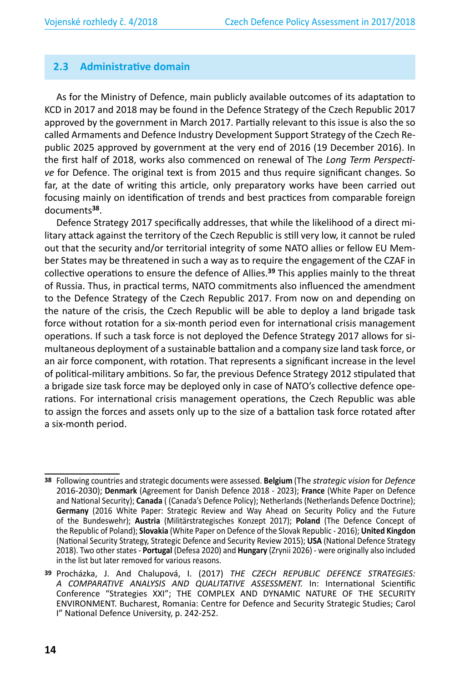## **2.3 Administrative domain**

As for the Ministry of Defence, main publicly available outcomes of its adaptation to KCD in 2017 and 2018 may be found in the Defence Strategy of the Czech Republic 2017 approved by the government in March 2017. Partially relevant to this issue is also the so called Armaments and Defence Industry Development Support Strategy of the Czech Republic 2025 approved by government at the very end of 2016 (19 December 2016). In the first half of 2018, works also commenced on renewal of The *Long Term Perspective* for Defence. The original text is from 2015 and thus require significant changes. So far, at the date of writing this article, only preparatory works have been carried out focusing mainly on identification of trends and best practices from comparable foreign documents**<sup>38</sup>**.

Defence Strategy 2017 specifically addresses, that while the likelihood of a direct military attack against the territory of the Czech Republic is still very low, it cannot be ruled out that the security and/or territorial integrity of some NATO allies or fellow EU Member States may be threatened in such a way as to require the engagement of the CZAF in collective operations to ensure the defence of Allies.**<sup>39</sup>** This applies mainly to the threat of Russia. Thus, in practical terms, NATO commitments also influenced the amendment to the Defence Strategy of the Czech Republic 2017. From now on and depending on the nature of the crisis, the Czech Republic will be able to deploy a land brigade task force without rotation for a six-month period even for international crisis management operations. If such a task force is not deployed the Defence Strategy 2017 allows for simultaneous deployment of a sustainable battalion and a company size land task force, or an air force component, with rotation. That represents a significant increase in the level of political-military ambitions. So far, the previous Defence Strategy 2012 stipulated that a brigade size task force may be deployed only in case of NATO's collective defence operations. For international crisis management operations, the Czech Republic was able to assign the forces and assets only up to the size of a battalion task force rotated after a six-month period.

**<sup>38</sup>** Following countries and strategic documents were assessed. **Belgium** (The *strategic vision* for *Defence* 2016-2030); **Denmark** (Agreement for Danish Defence 2018 - 2023); **France** (White Paper on Defence and National Security); **Canada** ( (Canada's Defence Policy); Netherlands (Netherlands Defence Doctrine); **Germany** (2016 White Paper: Strategic Review and Way Ahead on Security Policy and the Future of the Bundeswehr); **Austria** (Militärstrategisches Konzept 2017); **Poland** (The Defence Concept of the Republic of Poland); **Slovakia** (White Paper on Defence of the Slovak Republic - 2016); **United Kingdon** (National Security Strategy, Strategic Defence and Security Review 2015); **USA** (National Defence Strategy 2018). Two other states - **Portugal** (Defesa 2020) and **Hungary** (Zrynii 2026) - were originally also included in the list but later removed for various reasons.

**<sup>39</sup>** Procházka, J. And Chalupová, I. (2017) *THE CZECH REPUBLIC DEFENCE STRATEGIES: A COMPARATIVE ANALYSIS AND QUALITATIVE ASSESSMENT.* In: International Scientific Conference "Strategies XXI"; THE COMPLEX AND DYNAMIC NATURE OF THE SECURITY ENVIRONMENT. Bucharest, Romania: Centre for Defence and Security Strategic Studies; Carol I" National Defence University, p. 242-252.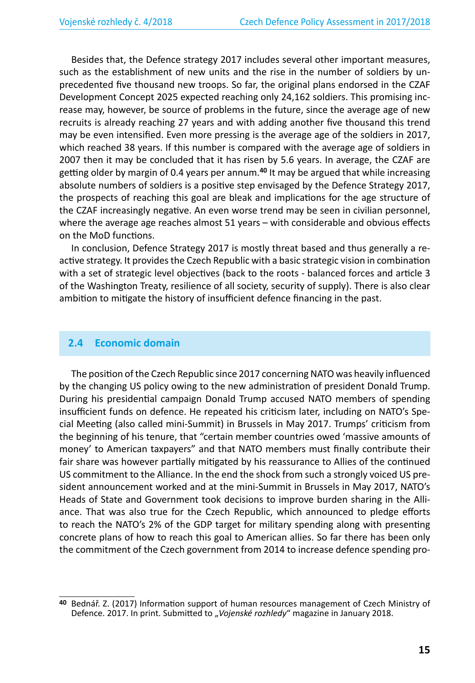Besides that, the Defence strategy 2017 includes several other important measures, such as the establishment of new units and the rise in the number of soldiers by unprecedented five thousand new troops. So far, the original plans endorsed in the CZAF Development Concept 2025 expected reaching only 24,162 soldiers. This promising increase may, however, be source of problems in the future, since the average age of new recruits is already reaching 27 years and with adding another five thousand this trend may be even intensified. Even more pressing is the average age of the soldiers in 2017, which reached 38 years. If this number is compared with the average age of soldiers in 2007 then it may be concluded that it has risen by 5.6 years. In average, the CZAF are getting older by margin of 0.4 years per annum.**<sup>40</sup>** It may be argued that while increasing absolute numbers of soldiers is a positive step envisaged by the Defence Strategy 2017, the prospects of reaching this goal are bleak and implications for the age structure of the CZAF increasingly negative. An even worse trend may be seen in civilian personnel, where the average age reaches almost 51 years – with considerable and obvious effects on the MoD functions.

In conclusion, Defence Strategy 2017 is mostly threat based and thus generally a reactive strategy. It provides the Czech Republic with a basic strategic vision in combination with a set of strategic level objectives (back to the roots - balanced forces and article 3 of the Washington Treaty, resilience of all society, security of supply). There is also clear ambition to mitigate the history of insufficient defence financing in the past.

#### **2.4 Economic domain**

The position of the Czech Republic since 2017 concerning NATO was heavily influenced by the changing US policy owing to the new administration of president Donald Trump. During his presidential campaign Donald Trump accused NATO members of spending insufficient funds on defence. He repeated his criticism later, including on NATO's Special Meeting (also called mini-Summit) in Brussels in May 2017. Trumps' criticism from the beginning of his tenure, that "certain member countries owed 'massive amounts of money' to American taxpayers" and that NATO members must finally contribute their fair share was however partially mitigated by his reassurance to Allies of the continued US commitment to the Alliance. In the end the shock from such a strongly voiced US president announcement worked and at the mini-Summit in Brussels in May 2017, NATO's Heads of State and Government took decisions to improve burden sharing in the Alliance. That was also true for the Czech Republic, which announced to pledge efforts to reach the NATO's 2% of the GDP target for military spending along with presenting concrete plans of how to reach this goal to American allies. So far there has been only the commitment of the Czech government from 2014 to increase defence spending pro-

**<sup>40</sup>** Bednář. Z. (2017) Information support of human resources management of Czech Ministry of Defence. 2017. In print. Submitted to "Vojenské rozhledy" magazine in January 2018.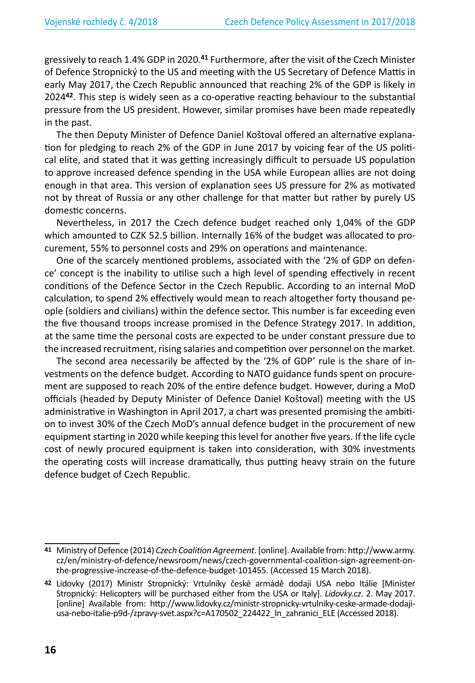gressively to reach 1.4% GDP in 2020.**<sup>41</sup>** Furthermore, after the visit of the Czech Minister of Defence Stropnický to the US and meeting with the US Secretary of Defence Mattis in early May 2017, the Czech Republic announced that reaching 2% of the GDP is likely in 2024**<sup>42</sup>**. This step is widely seen as a co-operative reacting behaviour to the substantial pressure from the US president. However, similar promises have been made repeatedly in the past.

The then Deputy Minister of Defence Daniel Koštoval offered an alternative explanation for pledging to reach 2% of the GDP in June 2017 by voicing fear of the US political elite, and stated that it was getting increasingly difficult to persuade US population to approve increased defence spending in the USA while European allies are not doing enough in that area. This version of explanation sees US pressure for 2% as motivated not by threat of Russia or any other challenge for that matter but rather by purely US domestic concerns.

Nevertheless, in 2017 the Czech defence budget reached only 1,04% of the GDP which amounted to CZK 52.5 billion. Internally 16% of the budget was allocated to procurement, 55% to personnel costs and 29% on operations and maintenance.

One of the scarcely mentioned problems, associated with the '2% of GDP on defence' concept is the inability to utilise such a high level of spending effectively in recent conditions of the Defence Sector in the Czech Republic. According to an internal MoD calculation, to spend 2% effectively would mean to reach altogether forty thousand people (soldiers and civilians) within the defence sector. This number is far exceeding even the five thousand troops increase promised in the Defence Strategy 2017. In addition, at the same time the personal costs are expected to be under constant pressure due to the increased recruitment, rising salaries and competition over personnel on the market.

The second area necessarily be affected by the '2% of GDP' rule is the share of investments on the defence budget. According to NATO guidance funds spent on procurement are supposed to reach 20% of the entire defence budget. However, during a MoD officials (headed by Deputy Minister of Defence Daniel Koštoval) meeting with the US administrative in Washington in April 2017, a chart was presented promising the ambition to invest 30% of the Czech MoD's annual defence budget in the procurement of new equipment starting in 2020 while keeping this level for another five years. If the life cycle cost of newly procured equipment is taken into consideration, with 30% investments the operating costs will increase dramatically, thus putting heavy strain on the future defence budget of Czech Republic.

**<sup>41</sup>** Ministry of Defence (2014) *Czech Coalition Agreement*. [online]. Available from: http://www.army. cz/en/ministry-of-defence/newsroom/news/czech-governmental-coalition-sign-agreement-onthe-progressive-increase-of-the-defence-budget-101455. (Accessed 15 March 2018).

**<sup>42</sup>** Lidovky (2017) Ministr Stropnický: Vrtulníky české armádě dodají USA nebo Itálie [Minister Stropnický: Helicopters will be purchased either from the USA or Italy]. *Lidovky.cz*. 2. May 2017. [online] Available from: http://www.lidovky.cz/ministr-stropnicky-vrtulniky-ceske-armade-dodajiusa-nebo-italie-p9d-/zpravy-svet.aspx?c=A170502\_224422\_ln\_zahranici\_ELE (Accessed 2018).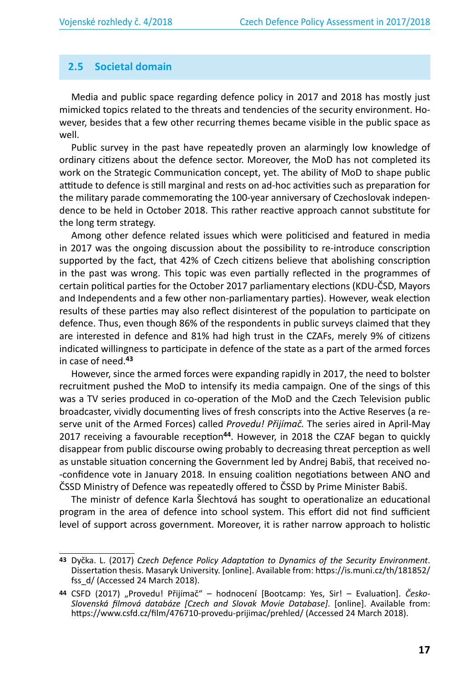#### **2.5 Societal domain**

Media and public space regarding defence policy in 2017 and 2018 has mostly just mimicked topics related to the threats and tendencies of the security environment. However, besides that a few other recurring themes became visible in the public space as well.

Public survey in the past have repeatedly proven an alarmingly low knowledge of ordinary citizens about the defence sector. Moreover, the MoD has not completed its work on the Strategic Communication concept, yet. The ability of MoD to shape public attitude to defence is still marginal and rests on ad-hoc activities such as preparation for the military parade commemorating the 100-year anniversary of Czechoslovak independence to be held in October 2018. This rather reactive approach cannot substitute for the long term strategy.

Among other defence related issues which were politicised and featured in media in 2017 was the ongoing discussion about the possibility to re-introduce conscription supported by the fact, that 42% of Czech citizens believe that abolishing conscription in the past was wrong. This topic was even partially reflected in the programmes of certain political parties for the October 2017 parliamentary elections (KDU-ČSD, Mayors and Independents and a few other non-parliamentary parties). However, weak election results of these parties may also reflect disinterest of the population to participate on defence. Thus, even though 86% of the respondents in public surveys claimed that they are interested in defence and 81% had high trust in the CZAFs, merely 9% of citizens indicated willingness to participate in defence of the state as a part of the armed forces in case of need.**<sup>43</sup>**

However, since the armed forces were expanding rapidly in 2017, the need to bolster recruitment pushed the MoD to intensify its media campaign. One of the sings of this was a TV series produced in co-operation of the MoD and the Czech Television public broadcaster, vividly documenting lives of fresh conscripts into the Active Reserves (a reserve unit of the Armed Forces) called *Provedu! Přijímač.* The series aired in April-May 2017 receiving a favourable reception**<sup>44</sup>**. However, in 2018 the CZAF began to quickly disappear from public discourse owing probably to decreasing threat perception as well as unstable situation concerning the Government led by Andrej Babiš, that received no- -confidence vote in January 2018. In ensuing coalition negotiations between ANO and ČSSD Ministry of Defence was repeatedly offered to ČSSD by Prime Minister Babiš.

The ministr of defence Karla Šlechtová has sought to operationalize an educational program in the area of defence into school system. This effort did not find sufficient level of support across government. Moreover, it is rather narrow approach to holistic

**<sup>43</sup>** Dyčka. L. (2017) *Czech Defence Policy Adaptation to Dynamics of the Security Environment*. Dissertation thesis. Masaryk University. [online]. Available from: https://is.muni.cz/th/181852/ fss\_d/ (Accessed 24 March 2018).

**<sup>44</sup>** CSFD (2017) "Provedu! Přijímač" – hodnocení [Bootcamp: Yes, Sir! – Evaluation]. *Česko-Slovenská filmová databáze [Czech and Slovak Movie Database]*. [online]. Available from: https://www.csfd.cz/film/476710-provedu-prijimac/prehled/ (Accessed 24 March 2018).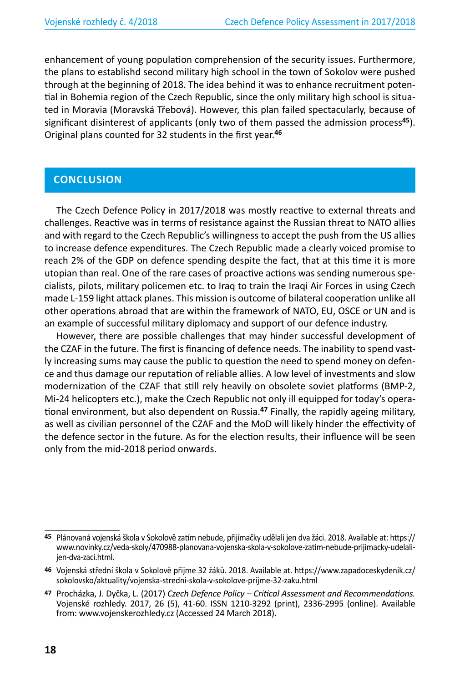enhancement of young population comprehension of the security issues. Furthermore, the plans to establishd second military high school in the town of Sokolov were pushed through at the beginning of 2018. The idea behind it was to enhance recruitment potential in Bohemia region of the Czech Republic, since the only military high school is situated in Moravia (Moravská Třebová). However, this plan failed spectacularly, because of significant disinterest of applicants (only two of them passed the admission process**<sup>45</sup>**). Original plans counted for 32 students in the first year.**<sup>46</sup>**

### **CONCLUSION**

The Czech Defence Policy in 2017/2018 was mostly reactive to external threats and challenges. Reactive was in terms of resistance against the Russian threat to NATO allies and with regard to the Czech Republic's willingness to accept the push from the US allies to increase defence expenditures. The Czech Republic made a clearly voiced promise to reach 2% of the GDP on defence spending despite the fact, that at this time it is more utopian than real. One of the rare cases of proactive actions was sending numerous specialists, pilots, military policemen etc. to Iraq to train the Iraqi Air Forces in using Czech made L-159 light attack planes. This mission is outcome of bilateral cooperation unlike all other operations abroad that are within the framework of NATO, EU, OSCE or UN and is an example of successful military diplomacy and support of our defence industry.

However, there are possible challenges that may hinder successful development of the CZAF in the future. The first is financing of defence needs. The inability to spend vastly increasing sums may cause the public to question the need to spend money on defence and thus damage our reputation of reliable allies. A low level of investments and slow modernization of the CZAF that still rely heavily on obsolete soviet platforms (BMP-2, Mi-24 helicopters etc.), make the Czech Republic not only ill equipped for today's operational environment, but also dependent on Russia.**<sup>47</sup>** Finally, the rapidly ageing military, as well as civilian personnel of the CZAF and the MoD will likely hinder the effectivity of the defence sector in the future. As for the election results, their influence will be seen only from the mid-2018 period onwards.

**<sup>45</sup>** Plánovaná vojenská škola v Sokolově zatím nebude, přijímačky udělali jen dva žáci. 2018. Available at: https:// www.novinky.cz/veda-skoly/470988-planovana-vojenska-skola-v-sokolove-zatim-nebude-prijimacky-udelalijen-dva-zaci.html.

**<sup>46</sup>** Vojenská střední škola v Sokolově přijme 32 žáků. 2018. Available at. https://www.zapadoceskydenik.cz/ sokolovsko/aktuality/vojenska-stredni-skola-v-sokolove-prijme-32-zaku.html

**<sup>47</sup>** Procházka, J. Dyčka, L. (2017) *Czech Defence Policy – Critical Assessment and Recommendations.* Vojenské rozhledy. 2017, 26 (5), 41-60. ISSN 1210-3292 (print), 2336-2995 (online). Available from: www.vojenskerozhledy.cz (Accessed 24 March 2018).